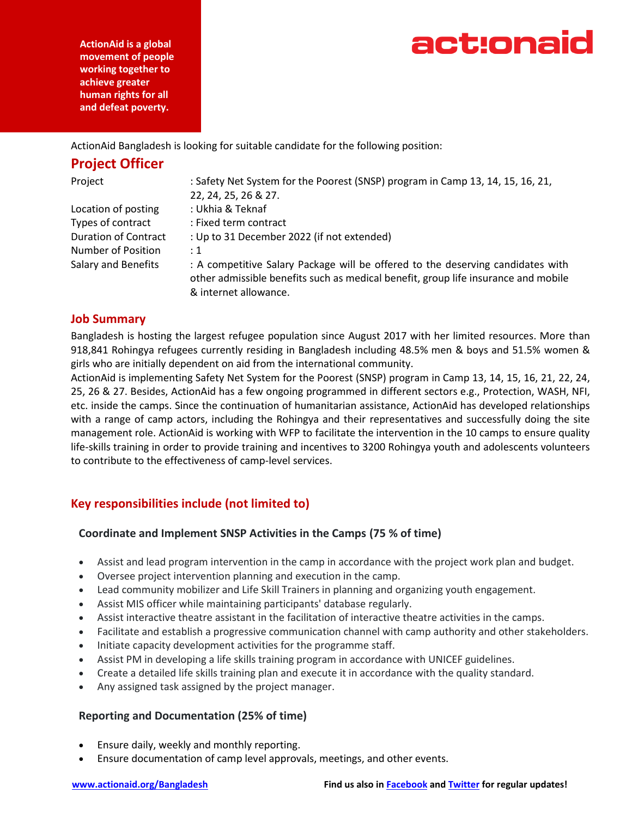act:onaid

**ActionAid is a global movement of people working together to achieve greater human rights for all and defeat poverty.**

ActionAid Bangladesh is looking for suitable candidate for the following position:

# **Project Officer**

| Project                     | : Safety Net System for the Poorest (SNSP) program in Camp 13, 14, 15, 16, 21,<br>22, 24, 25, 26 & 27.                                                                                         |
|-----------------------------|------------------------------------------------------------------------------------------------------------------------------------------------------------------------------------------------|
| Location of posting         | : Ukhia & Teknaf                                                                                                                                                                               |
| Types of contract           | : Fixed term contract                                                                                                                                                                          |
| <b>Duration of Contract</b> | : Up to 31 December 2022 (if not extended)                                                                                                                                                     |
| Number of Position          | $\div$ 1                                                                                                                                                                                       |
| <b>Salary and Benefits</b>  | : A competitive Salary Package will be offered to the deserving candidates with<br>other admissible benefits such as medical benefit, group life insurance and mobile<br>& internet allowance. |

### **Job Summary**

Bangladesh is hosting the largest refugee population since August 2017 with her limited resources. More than 918,841 Rohingya refugees currently residing in Bangladesh including 48.5% men & boys and 51.5% women & girls who are initially dependent on aid from the international community.

ActionAid is implementing Safety Net System for the Poorest (SNSP) program in Camp 13, 14, 15, 16, 21, 22, 24, 25, 26 & 27. Besides, ActionAid has a few ongoing programmed in different sectors e.g., Protection, WASH, NFI, etc. inside the camps. Since the continuation of humanitarian assistance, ActionAid has developed relationships with a range of camp actors, including the Rohingya and their representatives and successfully doing the site management role. ActionAid is working with WFP to facilitate the intervention in the 10 camps to ensure quality life-skills training in order to provide training and incentives to 3200 Rohingya youth and adolescents volunteers to contribute to the effectiveness of camp-level services.

## **Key responsibilities include (not limited to)**

### **Coordinate and Implement SNSP Activities in the Camps (75 % of time)**

- Assist and lead program intervention in the camp in accordance with the project work plan and budget.
- Oversee project intervention planning and execution in the camp.
- Lead community mobilizer and Life Skill Trainers in planning and organizing youth engagement.
- Assist MIS officer while maintaining participants' database regularly.
- Assist interactive theatre assistant in the facilitation of interactive theatre activities in the camps.
- Facilitate and establish a progressive communication channel with camp authority and other stakeholders.
- Initiate capacity development activities for the programme staff.
- Assist PM in developing a life skills training program in accordance with UNICEF guidelines.
- Create a detailed life skills training plan and execute it in accordance with the quality standard.
- Any assigned task assigned by the project manager.

### **Reporting and Documentation (25% of time)**

- Ensure daily, weekly and monthly reporting.
- Ensure documentation of camp level approvals, meetings, and other events.